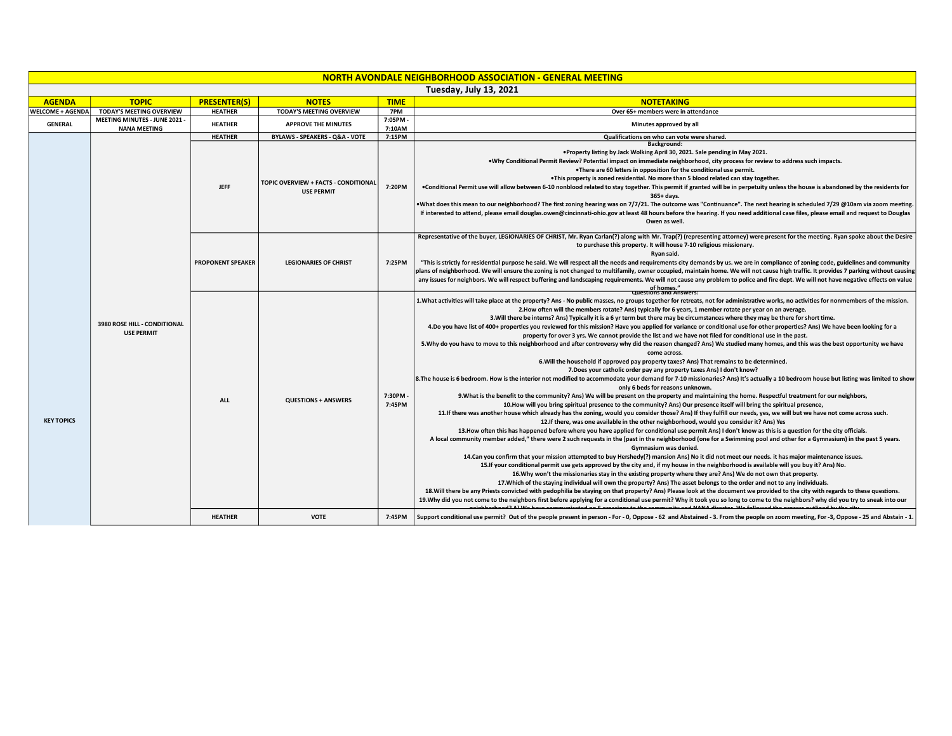| NORTH AVONDALE NEIGHBORHOOD ASSOCIATION - GENERAL MEETING |                                                      |                          |                                                           |                   |                                                                                                                                                                                                                                                                                                                                                                                                                                                                                                                                                                                                                                                                                                                                                                                                                                                                                                                                                                                                                                                                                                                                                                                                                                                                                                                                                                                                                                                                                                                                                                                                                                                                                                                                                                                                                                                                                                                                                                                                                                                                                                                                                                                                                                                                                                                                                                                                                                                                                                                                                                                                                                                                                                                                                                                                                                                                                                                                                                                                                                                                                                                                                                                                                                                                                  |  |  |  |  |  |
|-----------------------------------------------------------|------------------------------------------------------|--------------------------|-----------------------------------------------------------|-------------------|----------------------------------------------------------------------------------------------------------------------------------------------------------------------------------------------------------------------------------------------------------------------------------------------------------------------------------------------------------------------------------------------------------------------------------------------------------------------------------------------------------------------------------------------------------------------------------------------------------------------------------------------------------------------------------------------------------------------------------------------------------------------------------------------------------------------------------------------------------------------------------------------------------------------------------------------------------------------------------------------------------------------------------------------------------------------------------------------------------------------------------------------------------------------------------------------------------------------------------------------------------------------------------------------------------------------------------------------------------------------------------------------------------------------------------------------------------------------------------------------------------------------------------------------------------------------------------------------------------------------------------------------------------------------------------------------------------------------------------------------------------------------------------------------------------------------------------------------------------------------------------------------------------------------------------------------------------------------------------------------------------------------------------------------------------------------------------------------------------------------------------------------------------------------------------------------------------------------------------------------------------------------------------------------------------------------------------------------------------------------------------------------------------------------------------------------------------------------------------------------------------------------------------------------------------------------------------------------------------------------------------------------------------------------------------------------------------------------------------------------------------------------------------------------------------------------------------------------------------------------------------------------------------------------------------------------------------------------------------------------------------------------------------------------------------------------------------------------------------------------------------------------------------------------------------------------------------------------------------------------------------------------------------|--|--|--|--|--|
| Tuesday, July 13, 2021                                    |                                                      |                          |                                                           |                   |                                                                                                                                                                                                                                                                                                                                                                                                                                                                                                                                                                                                                                                                                                                                                                                                                                                                                                                                                                                                                                                                                                                                                                                                                                                                                                                                                                                                                                                                                                                                                                                                                                                                                                                                                                                                                                                                                                                                                                                                                                                                                                                                                                                                                                                                                                                                                                                                                                                                                                                                                                                                                                                                                                                                                                                                                                                                                                                                                                                                                                                                                                                                                                                                                                                                                  |  |  |  |  |  |
| <b>AGENDA</b>                                             | <b>TOPIC</b>                                         | <b>PRESENTER(S)</b>      | <b>NOTES</b>                                              | <b>TIME</b>       | <b>NOTETAKING</b>                                                                                                                                                                                                                                                                                                                                                                                                                                                                                                                                                                                                                                                                                                                                                                                                                                                                                                                                                                                                                                                                                                                                                                                                                                                                                                                                                                                                                                                                                                                                                                                                                                                                                                                                                                                                                                                                                                                                                                                                                                                                                                                                                                                                                                                                                                                                                                                                                                                                                                                                                                                                                                                                                                                                                                                                                                                                                                                                                                                                                                                                                                                                                                                                                                                                |  |  |  |  |  |
| <b>WELCOME + AGENDA</b>                                   | <b>TODAY'S MEETING OVERVIEW</b>                      | <b>HEATHER</b>           | <b>TODAY'S MEETING OVERVIEW</b>                           | 7PM               | Over 65+ members were in attendance                                                                                                                                                                                                                                                                                                                                                                                                                                                                                                                                                                                                                                                                                                                                                                                                                                                                                                                                                                                                                                                                                                                                                                                                                                                                                                                                                                                                                                                                                                                                                                                                                                                                                                                                                                                                                                                                                                                                                                                                                                                                                                                                                                                                                                                                                                                                                                                                                                                                                                                                                                                                                                                                                                                                                                                                                                                                                                                                                                                                                                                                                                                                                                                                                                              |  |  |  |  |  |
| <b>GENERAL</b>                                            | MEETING MINUTES - JUNE 2021 -<br><b>NANA MEETING</b> | <b>HEATHER</b>           | <b>APPROVE THE MINUTES</b>                                | 7:05PM-<br>7:10AM | Minutes approved by all                                                                                                                                                                                                                                                                                                                                                                                                                                                                                                                                                                                                                                                                                                                                                                                                                                                                                                                                                                                                                                                                                                                                                                                                                                                                                                                                                                                                                                                                                                                                                                                                                                                                                                                                                                                                                                                                                                                                                                                                                                                                                                                                                                                                                                                                                                                                                                                                                                                                                                                                                                                                                                                                                                                                                                                                                                                                                                                                                                                                                                                                                                                                                                                                                                                          |  |  |  |  |  |
|                                                           |                                                      | <b>HEATHER</b>           | <b>BYLAWS - SPEAKERS - Q&amp;A - VOTE</b>                 | 7:15PM            | Qualifications on who can vote were shared.                                                                                                                                                                                                                                                                                                                                                                                                                                                                                                                                                                                                                                                                                                                                                                                                                                                                                                                                                                                                                                                                                                                                                                                                                                                                                                                                                                                                                                                                                                                                                                                                                                                                                                                                                                                                                                                                                                                                                                                                                                                                                                                                                                                                                                                                                                                                                                                                                                                                                                                                                                                                                                                                                                                                                                                                                                                                                                                                                                                                                                                                                                                                                                                                                                      |  |  |  |  |  |
| <b>KEY TOPICS</b>                                         | 3980 ROSE HILL - CONDITIONAL<br><b>USE PERMIT</b>    | <b>JEFF</b>              | TOPIC OVERVIEW + FACTS - CONDITIONAL<br><b>USE PERMIT</b> | 7:20PM            | Background:<br>. Property listing by Jack Wolking April 30, 2021. Sale pending in May 2021<br>.Why Conditional Permit Review? Potential impact on immediate neighborhood, city process for review to address such impacts.<br>.There are 60 letters in opposition for the conditional use permit.<br>. This property is zoned residential. No more than 5 blood related can stay together.<br>. Conditional Permit use will allow between 6-10 nonblood related to stay together. This permit if granted will be in perpetuity unless the house is abandoned by the residents for<br>365+ days.<br>•What does this mean to our neighborhood? The first zoning hearing was on 7/7/21. The outcome was "Continuance". The next hearing is scheduled 7/29 @10am via zoom meeting.<br>If interested to attend, please email douglas.owen@cincinnati-ohio.gov at least 48 hours before the hearing. If you need additional case files, please email and request to Douglas<br>Owen as well.                                                                                                                                                                                                                                                                                                                                                                                                                                                                                                                                                                                                                                                                                                                                                                                                                                                                                                                                                                                                                                                                                                                                                                                                                                                                                                                                                                                                                                                                                                                                                                                                                                                                                                                                                                                                                                                                                                                                                                                                                                                                                                                                                                                                                                                                                           |  |  |  |  |  |
|                                                           |                                                      | <b>PROPONENT SPEAKER</b> | <b>LEGIONARIES OF CHRIST</b>                              | 7:25PM            | Representative of the buyer, LEGIONARIES OF CHRIST, Mr. Ryan Carlan(?) along with Mr. Trap(?) (representing attorney) were present for the meeting. Ryan spoke about the Desire<br>to purchase this property. It will house 7-10 religious missionary.<br>Rvan said.<br>"This is strictly for residential purpose he said. We will respect all the needs and requirements city demands by us. we are in compliance of zoning code, guidelines and community<br>plans of neighborhood. We will ensure the zoning is not changed to multifamily, owner occupied, maintain home. We will not cause high traffic. It provides 7 parking without causing<br>any issues for neighbors. We will respect buffering and landscaping requirements. We will not cause any problem to police and fire dept. We will not have negative effects on value<br>of homes."<br>Duestions and Answers                                                                                                                                                                                                                                                                                                                                                                                                                                                                                                                                                                                                                                                                                                                                                                                                                                                                                                                                                                                                                                                                                                                                                                                                                                                                                                                                                                                                                                                                                                                                                                                                                                                                                                                                                                                                                                                                                                                                                                                                                                                                                                                                                                                                                                                                                                                                                                                                |  |  |  |  |  |
|                                                           |                                                      | <b>ALL</b>               | <b>QUESTIONS + ANSWERS</b>                                | 7:30PM-<br>7:45PM | 1. What activities will take place at the property? Ans - No public masses, no groups together for retreats, not for administrative works, no activities for nonmembers of the mission.<br>2. How often will the members rotate? Ans) typically for 6 years, 1 member rotate per year on an average.<br>3. Will there be interns? Ans) Typically it is a 6 yr term but there may be circumstances where they may be there for short time.<br>4.Do you have list of 400+ properties you reviewed for this mission? Have you applied for variance or conditional use for other properties? Ans) We have been looking for a<br>property for over 3 yrs. We cannot provide the list and we have not filed for conditional use in the past.<br>5. Why do you have to move to this neighborhood and after controversy why did the reason changed? Ans) We studied many homes, and this was the best opportunity we have<br>come across.<br>6. Will the household if approved pay property taxes? Ans) That remains to be determined.<br>7. Does your catholic order pay any property taxes Ans) I don't know?<br>8. The house is 6 bedroom. How is the interior not modified to accommodate your demand for 7-10 missionaries? Ans) It's actually a 10 bedroom house but listing was limited to show<br>only 6 beds for reasons unknown.<br>9. What is the benefit to the community? Ans) We will be present on the property and maintaining the home. Respectful treatment for our neighbors,<br>10. How will you bring spiritual presence to the community? Ans) Our presence itself will bring the spiritual presence,<br>11. If there was another house which already has the zoning, would you consider those? Ans) If they fulfill our needs, yes, we will but we have not come across such.<br>12. If there, was one available in the other neighborhood, would you consider it? Ans) Yes<br>13. How often this has happened before where you have applied for conditional use permit Ans) I don't know as this is a question for the city officials.<br>A local community member added," there were 2 such requests in the [past in the neighborhood (one for a Swimming pool and other for a Gymnasium) in the past 5 years.<br>Gymnasium was denied.<br>14. Can you confirm that your mission attempted to buy Hershedy(?) mansion Ans) No it did not meet our needs. it has major maintenance issues.<br>15. If your conditional permit use gets approved by the city and, if my house in the neighborhood is available will you buy it? Ans) No.<br>16. Why won't the missionaries stay in the existing property where they are? Ans) We do not own that property.<br>17. Which of the staying individual will own the property? Ans) The asset belongs to the order and not to any individuals.<br>18. Will there be any Priests convicted with pedophilia be staying on that property? Ans) Please look at the document we provided to the city with regards to these questions.<br>19. Why did you not come to the neighbors first before applying for a conditional use permit? Why it took you so long to come to the neighbors? why did you try to sneak into our<br>communicated on C accocions to the community and NANA director. We followed the process outline |  |  |  |  |  |
|                                                           |                                                      | <b>HEATHER</b>           | <b>VOTE</b>                                               | 7:45PM            | Support conditional use permit? Out of the people present in person - For - 0, Oppose - 62 and Abstained - 3. From the people on zoom meeting, For -3, Oppose - 25 and Abstain - 1.                                                                                                                                                                                                                                                                                                                                                                                                                                                                                                                                                                                                                                                                                                                                                                                                                                                                                                                                                                                                                                                                                                                                                                                                                                                                                                                                                                                                                                                                                                                                                                                                                                                                                                                                                                                                                                                                                                                                                                                                                                                                                                                                                                                                                                                                                                                                                                                                                                                                                                                                                                                                                                                                                                                                                                                                                                                                                                                                                                                                                                                                                              |  |  |  |  |  |